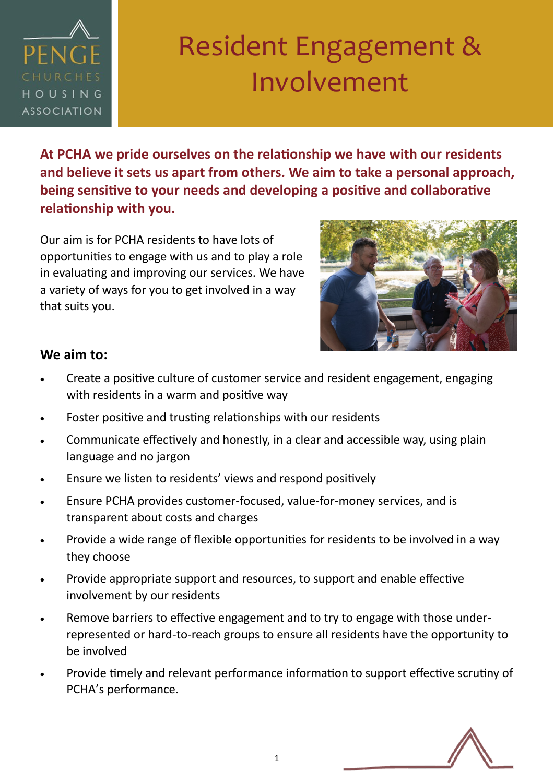

# Resident Engagement & Involvement

**At PCHA we pride ourselves on the relationship we have with our residents and believe it sets us apart from others. We aim to take a personal approach, being sensitive to your needs and developing a positive and collaborative relationship with you.** 

Our aim is for PCHA residents to have lots of opportunities to engage with us and to play a role in evaluating and improving our services. We have a variety of ways for you to get involved in a way that suits you.



### **We aim to:**

- Create a positive culture of customer service and resident engagement, engaging with residents in a warm and positive way
- Foster positive and trusting relationships with our residents
- Communicate effectively and honestly, in a clear and accessible way, using plain language and no jargon
- Ensure we listen to residents' views and respond positively
- Ensure PCHA provides customer-focused, value-for-money services, and is transparent about costs and charges
- Provide a wide range of flexible opportunities for residents to be involved in a way they choose
- Provide appropriate support and resources, to support and enable effective involvement by our residents
- Remove barriers to effective engagement and to try to engage with those underrepresented or hard-to-reach groups to ensure all residents have the opportunity to be involved
- Provide timely and relevant performance information to support effective scrutiny of PCHA's performance.

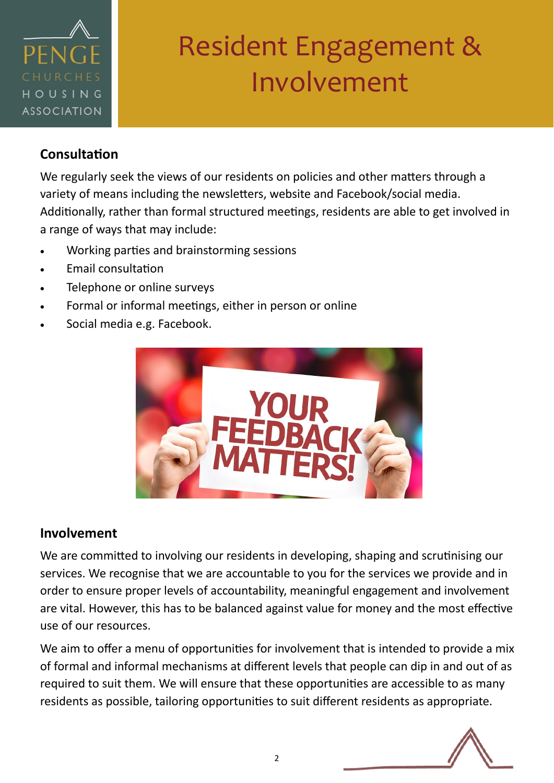

# Resident Engagement & Involvement

### **Consultation**

We regularly seek the views of our residents on policies and other matters through a variety of means including the newsletters, website and Facebook/social media. Additionally, rather than formal structured meetings, residents are able to get involved in a range of ways that may include:

- Working parties and brainstorming sessions
- Email consultation
- Telephone or online surveys
- Formal or informal meetings, either in person or online
- Social media e.g. Facebook.



### **Involvement**

We are committed to involving our residents in developing, shaping and scrutinising our services. We recognise that we are accountable to you for the services we provide and in order to ensure proper levels of accountability, meaningful engagement and involvement are vital. However, this has to be balanced against value for money and the most effective use of our resources.

We aim to offer a menu of opportunities for involvement that is intended to provide a mix of formal and informal mechanisms at different levels that people can dip in and out of as required to suit them. We will ensure that these opportunities are accessible to as many residents as possible, tailoring opportunities to suit different residents as appropriate.